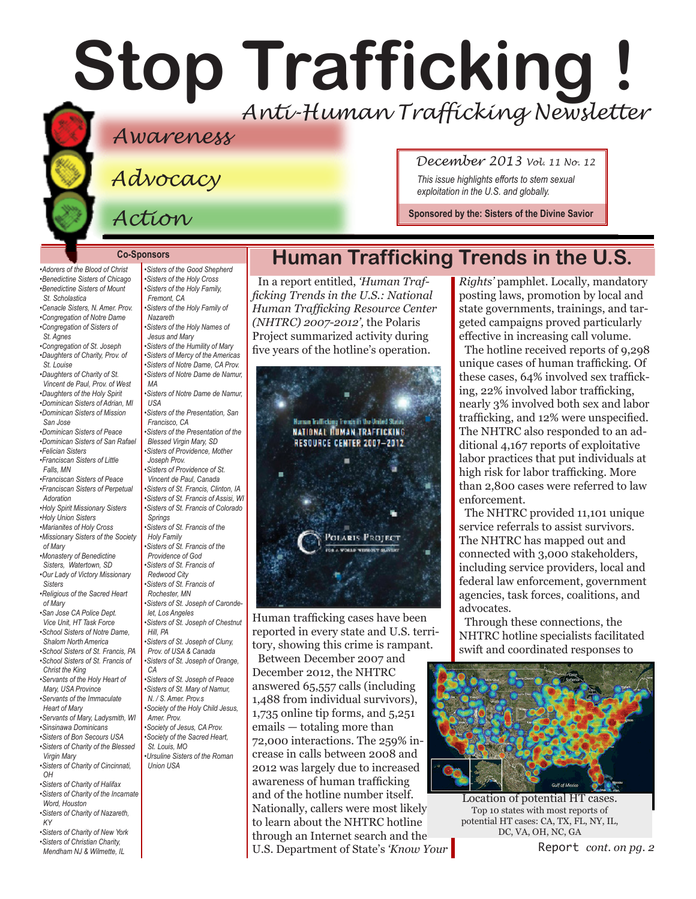# **Stop Trafficking !** *Anti-Human Trafficking Newsletter*

### *Awareness*

*Advocacy*

*Action*

*December 2013 Vol. 11 No. 12*

*This issue highlights efforts to stem sexual exploitation in the U.S. and globally.*

**Sponsored by the: [Sisters of the Divine Savior](http://www.sistersofthedivinesavior.org)**

#### **Co-Sponsors**

*•Adorers of the Blood of Christ •Benedictine Sisters of Chicago •Benedictine Sisters of Mount St. Scholastica •Cenacle Sisters, N. Amer. Prov. [•Congregation of Notre Dame](http://www.cnd-m.com/index.html) •Congregation of Sisters of St. Agnes •Congregation of St. Joseph [•Daughters of Charity, Prov. of](http://www.daughtersofcharity.org)  [St. Louise](http://www.daughtersofcharity.org)  [•Daughters of Charity of St.](http://www.daughtersofcharity.com)  [Vincent de Paul, Prov. of West](http://www.daughtersofcharity.com) [•Daughters of the Holy Spirit](http;//www.daughtersoftheholyspirit.org/) [•Dominican Sisters of Adrian, MI](http://www.adriandominicans.org/ ) [•Dominican Sisters of Mission](http://www.msjdominicans.org/)  [San Jose](http://www.msjdominicans.org/)  [•Dominican Sisters of Peace](http://www.oppeace.org/ ) [•Dominican Sisters of San Rafael](http://www.sanrafaelop.org/) [•Felician Sisters](http://www.feliciansisters.org) [•Franciscan Sisters of](http://www.fslf.org) Little Falls, MN [•Franciscan Sisters of Peace](http://www.fspnet.org ) [•Franciscan Sisters of Pe](http://www.fspa.org)rpetual Adoration [•Holy Spirit Missionary Sisters](http://www.ssps-usa.org) [•Holy Union Sisters](http://www.holyunionsisters.org/)  [•Marianites of Holy Cross](http://www.marianites.org/) [•Missionary Sisters of the Society](http://www.maristmissionarysmsm.org/)  [of Mary](http://www.maristmissionarysmsm.org/) [•Monastery of Benedictine](http://www.watertownbenedictines.org)  [Sisters, Watertown, SD](http://www.watertownbenedictines.org) [•Our Lady of Victory Missionary](http://www.olvm.org)  [Sisters](http://www.olvm.org) [•Religious of the Sacred Heart](http://www.rshm.org)  [of Mary](http://www.rshm.org)  [•San Jose CA Police Dept.](http://www.sjpd.org/stopht)  [Vice Unit, HT Task Force](http://www.sjpd.org/stopht) [•School Sisters of Notre Dame,](http://www.ssnd.org/central-pacific)  Shalom North America [•School Sisters of St. Francis, PA](http://www.schoolsistersosf.org) [•School Sisters of St. Francis of](http://www.lemontfranciscans.org/)  [Christ the King](http://www.lemontfranciscans.org/) [•Servants of the Holy Heart of](http://www.sscm-usa.org/)  [Mary, USA Province](http://www.sscm-usa.org/)  [•Servants of the Immaculate](http://www.scimsisters.org)  [Heart of Mary](http://www.scimsisters.org) [•Servants of Mary, Ladysmith, WI](http://servitesisters.org)  [•Sinsinawa Dominicans](http://www.sinsinawa.org/<200E>) [•Sisters of Bon Secours USA](http://www.bonsecours.org/us)  [•Sisters of Charity of the Blessed](http://www.bvmcong.org)  [Virgin Mary](http://www.bvmcong.org) [•Sisters of Charity of Cincinnati,](http://www.srcharitycinti.org/)  [OH](http://www.srcharitycinti.org/) [•Sisters of Charity of Halifax](http://www.schalifax.ca)  [•Sisters of Charity of the Incarnate](http://www.sistersofcharity.org)  [Word, Houston](http://www.sistersofcharity.org)* 

- *[•Sisters of Charity of Nazareth,](http://www.scny.org/)  [KY](http://www.scny.org/) [•Sisters of Charity of New York](http://www.scny.org/)  •Sisters of [Christian Charity,](http://www.scceast.org)*
- *[Mendham](http://www.scceast.org) NJ [& Wilmette, IL](http://www.sccwilmette.org)*

*[•Sisters of the Good Shepherd](http://www.goodshepherdsisters.org/) [•Sisters of the Holy Cross](http://www.cscsisters.org/) [•Sisters of the Holy Family,](http://www.holyfamilysisters.org/)  [Fremont, CA](http://www.holyfamilysisters.org/)  [•Sisters of the Holy Family of](http://www.nazarethcsfn.org/)  [Nazareth](http://www.nazarethcsfn.org/) [•Sisters of the Holy Names of](http://www.snjm.org/)  [Jesus and Mary](http://www.snjm.org/)  [•Sisters of the Humility of Mary](http://www.humilityofmary.org)  [•Sisters of Mercy of the Americas](http://www.sistersofmercy.org/) [•Sisters of Notre Dame, CA Prov](http://www.sndca.org/). [•Sisters of Notre Dame de Namur,](http://web.sndden.org/dev/FOV1-000125A1/BostonProv.htm)  [MA](http://web.sndden.org/dev/FOV1-000125A1/BostonProv.htm) [•Sisters of Notre Dame](http://www.sndden.org/) de Namur, USA [•Sisters of the Presentation, San](http://www.presentationsisterssf.org/)  [Francisco, CA](http://www.presentationsisterssf.org/) [•Sisters of the Presentation of the](http://www.presentationsisters.org/)  [Blessed Virgin Mary, SD](http://www.presentationsisters.org/) [•Sisters of Providence, Mother](http://www.sistersofprovidence.net)  [Joseph Prov.](http://www.sistersofprovidence.net)  [•Sisters of Providence of St.](http://www.providence.ca)  [Vincent de Paul, Canada](http://www.providence.ca)  [•Sisters of St. Francis, Clinton, IA](http://www.clintonfranciscans.com/<200E>) [•Sisters of St. Francis of Assisi, WI](http://www.lakeosfs.org/) [•Sisters of St. Francis of Colorado](http://www.stfrancis.org)  [Springs](http://www.stfrancis.org)  [•Sisters of St. Francis of the](http://www.osfdbq.org/<200E>)  Holy Family [•Sisters of St. Francis of the](http://www.osfprov.org/)  [Providence of God](http://www.osfprov.org/) [•Sisters of St. Francis of](http://www.stfrancisprovince.org)  [Redwood City](http://www.stfrancisprovince.org)  [•Sisters of St. Francis of](http://www.rochesterfranciscan.org/)  [Rochester, MN](http://www.rochesterfranciscan.org/) [•Sisters of St. Joseph of Caronde](http://www.csjla.org)[let, Los Angeles](http://www.csjla.org)  [•Sisters of St. Joseph of C](http://www.ssjphila.org/)hestnut Hill, PA [•Sisters of St. Joseph of Cluny,](http://www.clunyusandcanada.org )  [Prov. of USA & Canada](http://www.clunyusandcanada.org ) [•Sisters of St. Joseph of Orange,](http://www.sistersofstjosephorange.org/)  [CA](http://www.sistersofstjosephorange.org/)  [•Sisters of St. Joseph of Peace](http://www.csjp.org/<200E>) [•Sisters of St. Mary of Namur,](http://www.ssmn-e.com)  [N. / S. Amer. Prov.s](http://www.ssmn-e.com) [•Society of the Holy Child Jesus,](http://www.shcj.org )  [Amer. Prov.](http://www.shcj.org ) [•Society of Jesus, CA Prov.](http://www.jesuitscalifornia.org/<200E>) [•Society of the Sacred Heart,](http://www.rscj.org)  [St. Louis, MO](http://www.rscj.org) [•Ursuline Sisters of the Roman](http://usaromanunionursulines.org/)  [Union USA](http://usaromanunionursulines.org/)*

### **Human Trafficking Trends in the U.S.**

In a report entitled, *'Human Trafficking Trends in the U.S.: National Human Trafficking Resource Center (NHTRC) 2007-2012',* the Polaris Project summarized activity during five years of the hotline's operation.



Human trafficking cases have been reported in every state and U.S. territory, showing this crime is rampant. Between December 2007 and December 2012, the NHTRC answered 65,557 calls (including 1,488 from individual survivors), 1,735 online tip forms, and 5,251 emails — totaling more than 72,000 interactions. The 259% increase in calls between 2008 and 2012 was largely due to increased awareness of human trafficking and of the hotline number itself. Nationally, callers were most likely to learn about the NHTRC hotline through an Internet search and the U.S. Department of State's *'Know Your* 

*Rights'* pamphlet. Locally, mandatory posting laws, promotion by local and state governments, trainings, and targeted campaigns proved particularly effective in increasing call volume.

The hotline received reports of 9,298 unique cases of human trafficking. Of these cases, 64% involved sex trafficking, 22% involved labor trafficking, nearly 3% involved both sex and labor trafficking, and 12% were unspecified. The NHTRC also responded to an additional 4,167 reports of exploitative labor practices that put individuals at high risk for labor trafficking. More than 2,800 cases were referred to law enforcement.

The NHTRC provided 11,101 unique service referrals to assist survivors. The NHTRC has mapped out and connected with 3,000 stakeholders, including service providers, local and federal law enforcement, government agencies, task forces, coalitions, and advocates.

Through these connections, the NHTRC hotline specialists facilitated swift and coordinated responses to



Location of potential HT cases. Top 10 states with most reports of potential HT cases: CA, TX, FL, NY, IL, DC, VA, OH, NC, GA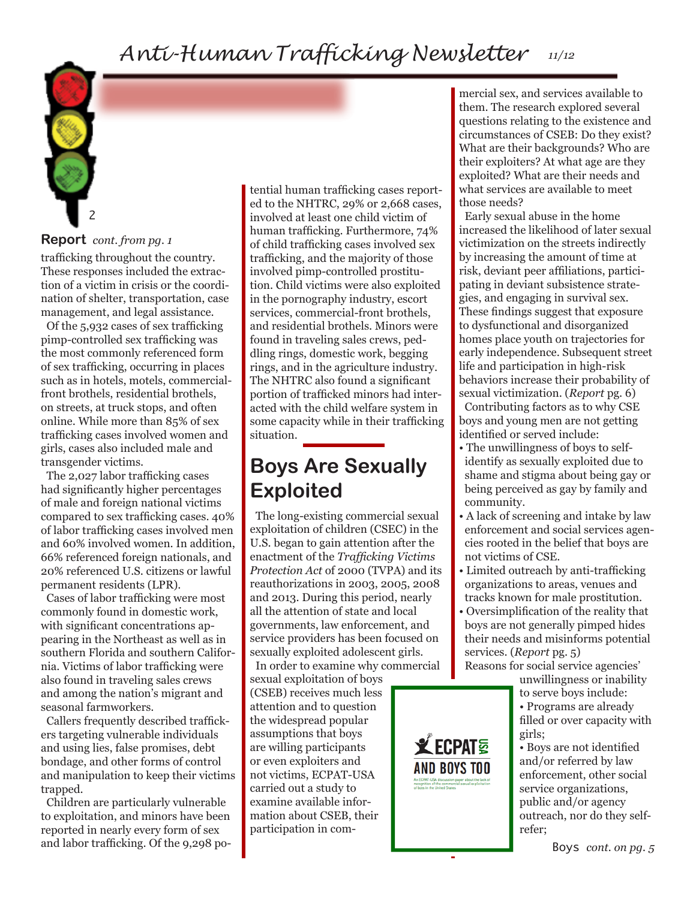# *Anti-Human Trafficking Newsletter 11/12*



#### **Report** *cont. from pg. 1*

trafficking throughout the country. These responses included the extraction of a victim in crisis or the coordination of shelter, transportation, case management, and legal assistance.

Of the 5,932 cases of sex trafficking pimp-controlled sex trafficking was the most commonly referenced form of sex trafficking, occurring in places such as in hotels, motels, commercialfront brothels, residential brothels, on streets, at truck stops, and often online. While more than 85% of sex trafficking cases involved women and girls, cases also included male and transgender victims.

The 2,027 labor trafficking cases had significantly higher percentages of male and foreign national victims compared to sex trafficking cases. 40% of labor trafficking cases involved men and 60% involved women. In addition, 66% referenced foreign nationals, and 20% referenced U.S. citizens or lawful permanent residents (LPR).

Cases of labor trafficking were most commonly found in domestic work, with significant concentrations appearing in the Northeast as well as in southern Florida and southern California. Victims of labor trafficking were also found in traveling sales crews and among the nation's migrant and seasonal farmworkers.

Callers frequently described traffickers targeting vulnerable individuals and using lies, false promises, debt bondage, and other forms of control and manipulation to keep their victims trapped.

Children are particularly vulnerable to exploitation, and minors have been reported in nearly every form of sex and labor trafficking. Of the 9,298 potential human trafficking cases reported to the NHTRC, 29% or 2,668 cases, involved at least one child victim of human trafficking. Furthermore, 74% of child trafficking cases involved sex trafficking, and the majority of those involved pimp-controlled prostitution. Child victims were also exploited in the pornography industry, escort services, commercial-front brothels, and residential brothels. Minors were found in traveling sales crews, peddling rings, domestic work, begging rings, and in the agriculture industry. The NHTRC also found a significant portion of trafficked minors had interacted with the child welfare system in some capacity while in their trafficking situation.

### **Boys Are Sexually Exploited**

The long-existing commercial sexual exploitation of children (CSEC) in the U.S. began to gain attention after the enactment of the *Trafficking Victims Protection Act* of 2000 (TVPA) and its reauthorizations in 2003, 2005, 2008 and 2013. During this period, nearly all the attention of state and local governments, law enforcement, and service providers has been focused on sexually exploited adolescent girls.

In order to examine why commercial

sexual exploitation of boys (CSEB) receives much less attention and to question the widespread popular assumptions that boys are willing participants or even exploiters and not victims, ECPAT-USA carried out a study to examine available information about CSEB, their participation in commercial sex, and services available to them. The research explored several questions relating to the existence and circumstances of CSEB: Do they exist? What are their backgrounds? Who are their exploiters? At what age are they exploited? What are their needs and what services are available to meet those needs?

Early sexual abuse in the home increased the likelihood of later sexual victimization on the streets indirectly by increasing the amount of time at risk, deviant peer affiliations, participating in deviant subsistence strategies, and engaging in survival sex. These findings suggest that exposure to dysfunctional and disorganized homes place youth on trajectories for early independence. Subsequent street life and participation in high-risk behaviors increase their probability of sexual victimization. (*Report* pg. 6)

Contributing factors as to why CSE boys and young men are not getting identified or served include:

- The unwillingness of boys to selfidentify as sexually exploited due to shame and stigma about being gay or being perceived as gay by family and community.
- A lack of screening and intake by law enforcement and social services agencies rooted in the belief that boys are not victims of CSE.
- Limited outreach by anti-trafficking organizations to areas, venues and tracks known for male prostitution.
- Oversimplification of the reality that boys are not generally pimped hides their needs and misinforms potential services. (*Report* pg. 5)

Reasons for social service agencies'

**XECPATE** 

**AND BOYS TOO** 

unwillingness or inability to serve boys include: • Programs are already filled or over capacity with girls;

• Boys are not identified and/or referred by law enforcement, other social service organizations, public and/or agency outreach, nor do they selfrefer;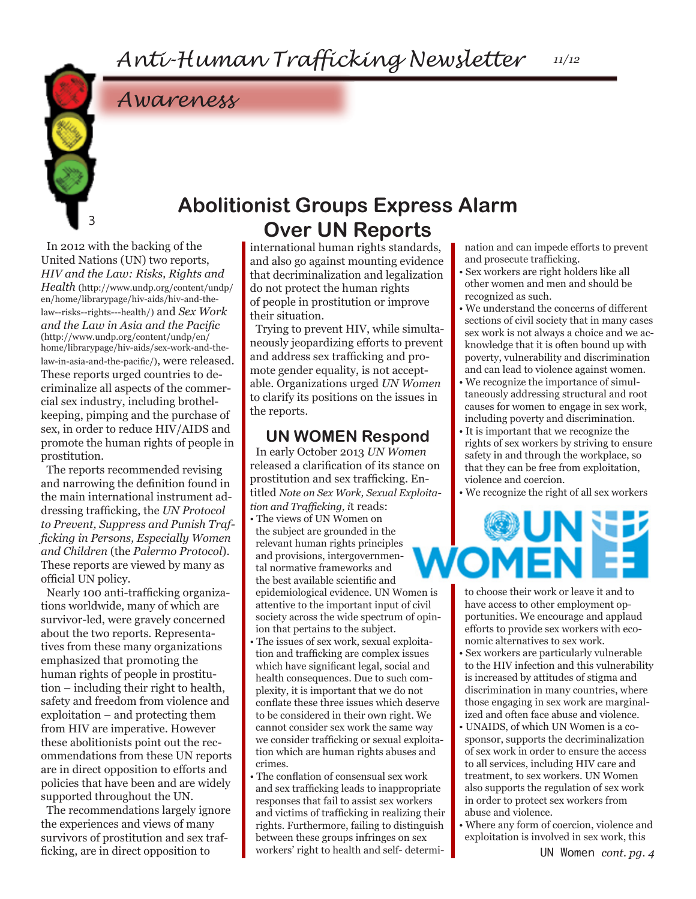# *Awareness*



### **Abolitionist Groups Express Alarm Over UN Reports**

In 2012 with the backing of the United Nations (UN) two reports, *HIV and the Law: Risks, Rights and Health* (http://www.undp.org/content/undp/ en/home/librarypage/hiv-aids/hiv-and-thelaw--risks--rights---health/) and *Sex Work and the Law in Asia and the Pacific*  (http://www.undp.org/content/undp/en/ home/librarypage/hiv-aids/sex-work-and-thelaw-in-asia-and-the-pacific/), were released. These reports urged countries to decriminalize all aspects of the commercial sex industry, including brothelkeeping, pimping and the purchase of sex, in order to reduce HIV/AIDS and promote the human rights of people in prostitution.

The reports recommended revising and narrowing the definition found in the main international instrument addressing trafficking, the *UN Protocol to Prevent, Suppress and Punish Trafficking in Persons, Especially Women and Children* (the *Palermo Protocol*). These reports are viewed by many as official UN policy.

Nearly 100 anti-trafficking organizations worldwide, many of which are survivor-led, were gravely concerned about the two reports. Representatives from these many organizations emphasized that promoting the human rights of people in prostitution – including their right to health, safety and freedom from violence and exploitation – and protecting them from HIV are imperative. However these abolitionists point out the recommendations from these UN reports are in direct opposition to efforts and policies that have been and are widely supported throughout the UN.

The recommendations largely ignore the experiences and views of many survivors of prostitution and sex trafficking, are in direct opposition to

international human rights standards, and also go against mounting evidence that decriminalization and legalization do not protect the human rights of people in prostitution or improve their situation.

Trying to prevent HIV, while simultaneously jeopardizing efforts to prevent and address sex trafficking and promote gender equality, is not acceptable. Organizations urged *UN Women*  to clarify its positions on the issues in the reports.

#### **UN WOMEN Respond**

In early October 2013 *UN Women*  released a clarification of its stance on prostitution and sex trafficking. Entitled *Note on Sex Work, Sexual Exploitation and Trafficking, i*t reads:

- The views of UN Women on the subject are grounded in the relevant human rights principles and provisions, intergovernmental normative frameworks and the best available scientific and epidemiological evidence. UN Women is attentive to the important input of civil society across the wide spectrum of opinion that pertains to the subject.
- The issues of sex work, sexual exploitation and trafficking are complex issues which have significant legal, social and health consequences. Due to such complexity, it is important that we do not conflate these three issues which deserve to be considered in their own right. We cannot consider sex work the same way we consider trafficking or sexual exploitation which are human rights abuses and crimes.
- The conflation of consensual sex work and sex trafficking leads to inappropriate responses that fail to assist sex workers and victims of trafficking in realizing their rights. Furthermore, failing to distinguish between these groups infringes on sex workers' right to health and self- determi-

nation and can impede efforts to prevent and prosecute trafficking.

- Sex workers are right holders like all other women and men and should be recognized as such.
- We understand the concerns of different sections of civil society that in many cases sex work is not always a choice and we acknowledge that it is often bound up with poverty, vulnerability and discrimination and can lead to violence against women.
- We recognize the importance of simultaneously addressing structural and root causes for women to engage in sex work, including poverty and discrimination.
- It is important that we recognize the rights of sex workers by striving to ensure safety in and through the workplace, so that they can be free from exploitation, violence and coercion.
- We recognize the right of all sex workers



to choose their work or leave it and to have access to other employment opportunities. We encourage and applaud efforts to provide sex workers with economic alternatives to sex work.

- Sex workers are particularly vulnerable to the HIV infection and this vulnerability is increased by attitudes of stigma and discrimination in many countries, where those engaging in sex work are marginalized and often face abuse and violence.
- UNAIDS, of which UN Women is a cosponsor, supports the decriminalization of sex work in order to ensure the access to all services, including HIV care and treatment, to sex workers. UN Women also supports the regulation of sex work in order to protect sex workers from abuse and violence.
- Where any form of coercion, violence and exploitation is involved in sex work, this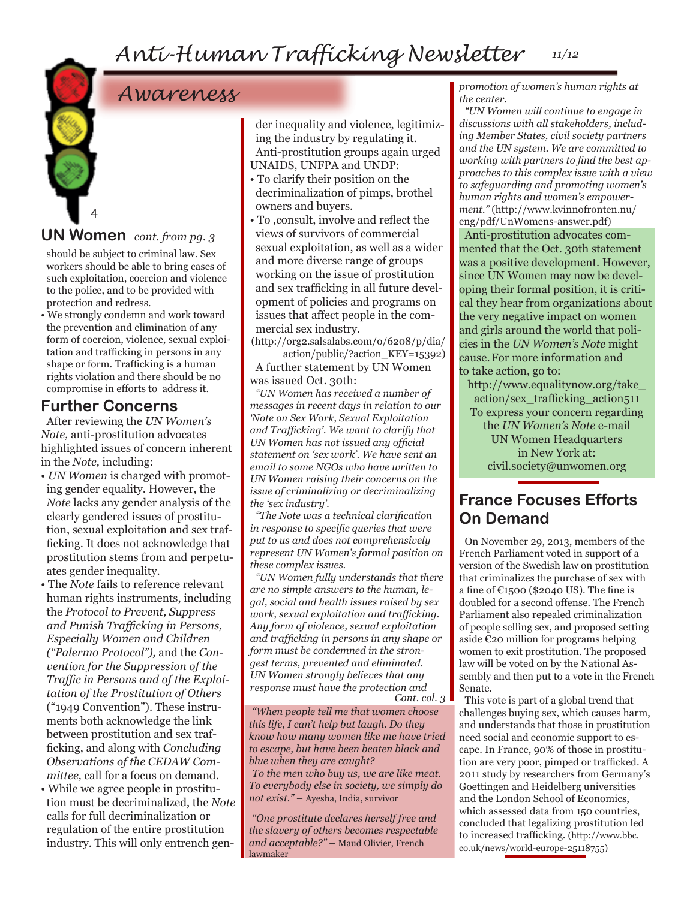### *Awareness*

### **UN Women** *cont. from pg. 3*

4

should be subject to criminal law. Sex workers should be able to bring cases of such exploitation, coercion and violence to the police, and to be provided with protection and redress.

• We strongly condemn and work toward the prevention and elimination of any form of coercion, violence, sexual exploitation and trafficking in persons in any shape or form. Trafficking is a human rights violation and there should be no compromise in efforts to address it.

#### **Further Concerns**

After reviewing the *UN Women's Note,* anti-prostitution advocates highlighted issues of concern inherent in the *Note,* including:

- *UN Women* is charged with promoting gender equality. However, the *Note* lacks any gender analysis of the clearly gendered issues of prostitution, sexual exploitation and sex trafficking. It does not acknowledge that prostitution stems from and perpetuates gender inequality.
- The *Note* fails to reference relevant human rights instruments, including the *Protocol to Prevent, Suppress and Punish Trafficking in Persons, Especially Women and Children ("Palermo Protocol"),* and the *Convention for the Suppression of the Traffic in Persons and of the Exploitation of the Prostitution of Others*  ("1949 Convention"). These instruments both acknowledge the link between prostitution and sex trafficking, and along with *Concluding Observations of the CEDAW Committee,* call for a focus on demand.
- While we agree people in prostitution must be decriminalized, the *Note* calls for full decriminalization or regulation of the entire prostitution industry. This will only entrench gen-

der inequality and violence, legitimizing the industry by regulating it. Anti-prostitution groups again urged UNAIDS, UNFPA and UNDP:

- To clarify their position on the decriminalization of pimps, brothel owners and buyers.
- To ,consult, involve and reflect the views of survivors of commercial sexual exploitation, as well as a wider and more diverse range of groups working on the issue of prostitution and sex trafficking in all future development of policies and programs on issues that affect people in the commercial sex industry.

(http://org2.salsalabs.com/o/6208/p/dia/

action/public/?action\_KEY=15392) A further statement by UN Women was issued Oct. 30th:

*"UN Women has received a number of messages in recent days in relation to our 'Note on Sex Work, Sexual Exploitation and Trafficking'. We want to clarify that UN Women has not issued any official statement on 'sex work'. We have sent an email to some NGOs who have written to UN Women raising their concerns on the issue of criminalizing or decriminalizing the 'sex industry'.*

*"The Note was a technical clarification in response to specific queries that were put to us and does not comprehensively represent UN Women's formal position on these complex issues.*

*"UN Women fully understands that there are no simple answers to the human, legal, social and health issues raised by sex work, sexual exploitation and trafficking. Any form of violence, sexual exploitation and trafficking in persons in any shape or form must be condemned in the strongest terms, prevented and eliminated. UN Women strongly believes that any response must have the protection and* 

*Cont. col. 3*

*"When people tell me that women choose this life, I can't help but laugh. Do they know how many women like me have tried to escape, but have been beaten black and blue when they are caught?* 

*To the men who buy us, we are like meat. To everybody else in society, we simply do not exist."* – Ayesha, India, survivor

*"One prostitute declares herself free and the slavery of others becomes respectable and acceptable?"* – Maud Olivier, French lawmaker

*promotion of women's human rights at the center.*

*"UN Women will continue to engage in discussions with all stakeholders, including Member States, civil society partners and the UN system. We are committed to working with partners to find the best approaches to this complex issue with a view to safeguarding and promoting women's human rights and women's empowerment."* (http://www.kvinnofronten.nu/ eng/pdf/UnWomens-answer.pdf) Anti-prostitution advocates commented that the Oct. 30th statement was a positive development. However, since UN Women may now be developing their formal position, it is critical they hear from organizations about the very negative impact on women

and girls around the world that policies in the *UN Women's Note* might cause.For more information and to take action, go to:

http://www.equalitynow.org/take\_ action/sex\_trafficking\_action511 To express your concern regarding the *UN Women's Note* e-mail UN Women Headquarters in New York at: civil.society@unwomen.org

### **France Focuses Efforts On Demand**

On November 29, 2013, members of the French Parliament voted in support of a version of the Swedish law on prostitution that criminalizes the purchase of sex with a fine of  $\text{E1500}$  (\$2040 US). The fine is doubled for a second offense. The French Parliament also repealed criminalization of people selling sex, and proposed setting aside €20 million for programs helping women to exit prostitution. The proposed law will be voted on by the National Assembly and then put to a vote in the French Senate.

This vote is part of a global trend that challenges buying sex, which causes harm, and understands that those in prostitution need social and economic support to escape. In France, 90% of those in prostitution are very poor, pimped or trafficked. A 2011 study by researchers from Germany's Goettingen and Heidelberg universities and the London School of Economics, which assessed data from 150 countries, concluded that legalizing prostitution led to increased trafficking. (http://www.bbc. co.uk/news/world-europe-25118755)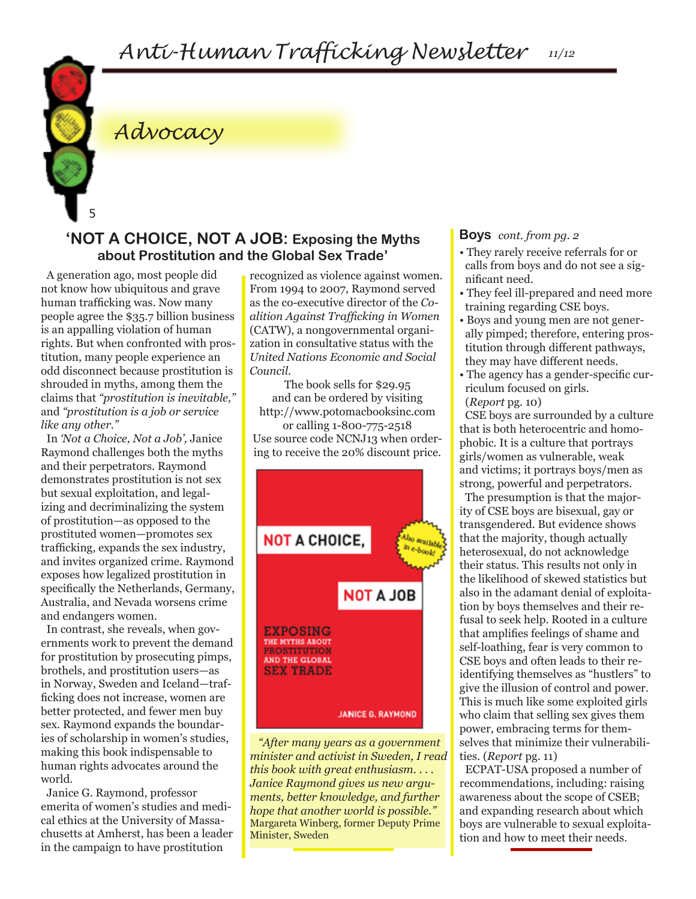

# *Advocacy*

#### **'NOT A CHOICE, NOT A JOB: Exposing the Myths about Prostitution and the Global Sex Trade'**

A generation ago, most people did not know how ubiquitous and grave human trafficking was. Now many people agree the \$35.7 billion business is an appalling violation of human rights. But when confronted with prostitution, many people experience an odd disconnect because prostitution is shrouded in myths, among them the claims that *"prostitution is inevitable,"*  and *"prostitution is a job or service like any other."*

In *'Not a Choice, Not a Job',* Janice Raymond challenges both the myths and their perpetrators. Raymond demonstrates prostitution is not sex but sexual exploitation, and legalizing and decriminalizing the system of prostitution—as opposed to the prostituted women—promotes sex trafficking, expands the sex industry, and invites organized crime. Raymond exposes how legalized prostitution in specifically the Netherlands, Germany, Australia, and Nevada worsens crime and endangers women.

In contrast, she reveals, when governments work to prevent the demand for prostitution by prosecuting pimps, brothels, and prostitution users—as in Norway, Sweden and Iceland—trafficking does not increase, women are better protected, and fewer men buy sex. Raymond expands the boundaries of scholarship in women's studies, making this book indispensable to human rights advocates around the world.

Janice G. Raymond, professor emerita of women's studies and medical ethics at the University of Massachusetts at Amherst, has been a leader in the campaign to have prostitution

recognized as violence against women. From 1994 to 2007, Raymond served as the co-executive director of the *Coalition Against Trafficking in Women*  (CATW), a nongovernmental organization in consultative status with the *United Nations Economic and Social Council.*

The book sells for \$29.95 and can be ordered by visiting http://www.potomacbooksinc.com

or calling 1-800-775-2518 Use source code NCNJ13 when ordering to receive the 20% discount price.



 *"After many years as a government minister and activist in Sweden, I read this book with great enthusiasm. . . . Janice Raymond gives us new arguments, better knowledge, and further hope that another world is possible."*  Margareta Winberg, former Deputy Prime Minister, Sweden

#### **Boys** *cont. from pg. 2*

- They rarely receive referrals for or calls from boys and do not see a significant need.
- They feel ill-prepared and need more training regarding CSE boys.
- Boys and young men are not generally pimped; therefore, entering prostitution through different pathways, they may have different needs.
- The agency has a gender-specific curriculum focused on girls. (*Report* pg. 10)

CSE boys are surrounded by a culture that is both heterocentric and homophobic. It is a culture that portrays girls/women as vulnerable, weak and victims; it portrays boys/men as strong, powerful and perpetrators.

The presumption is that the majority of CSE boys are bisexual, gay or transgendered. But evidence shows that the majority, though actually heterosexual, do not acknowledge their status. This results not only in the likelihood of skewed statistics but also in the adamant denial of exploitation by boys themselves and their refusal to seek help. Rooted in a culture that amplifies feelings of shame and self-loathing, fear is very common to CSE boys and often leads to their reidentifying themselves as "hustlers" to give the illusion of control and power. This is much like some exploited girls who claim that selling sex gives them power, embracing terms for themselves that minimize their vulnerabilities. (*Report* pg. 11)

ECPAT-USA proposed a number of recommendations, including: raising awareness about the scope of CSEB; and expanding research about which boys are vulnerable to sexual exploitation and how to meet their needs.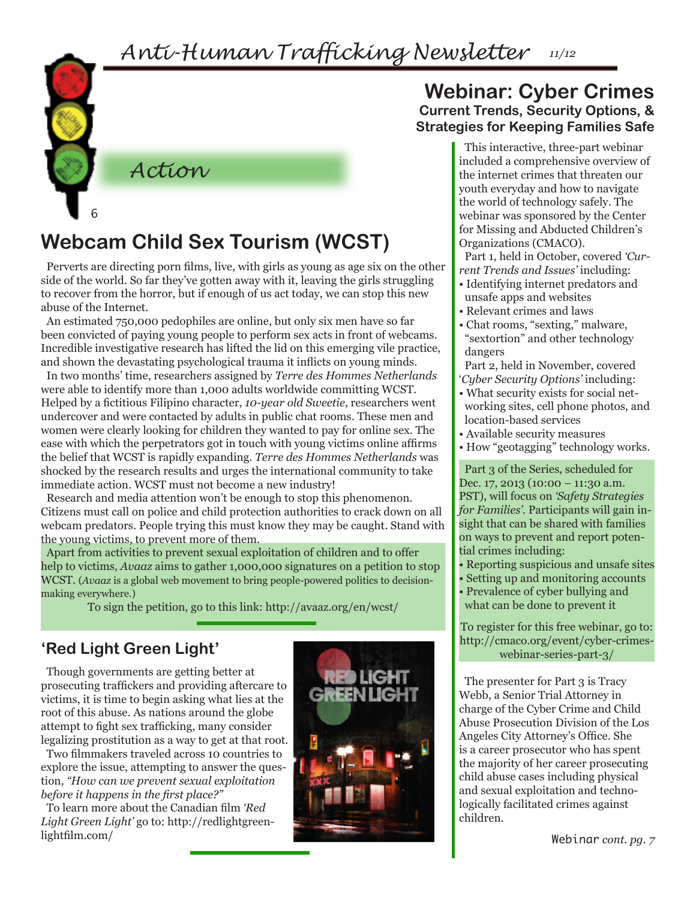*Anti-Human Trafficking Newsletter 11/12*



# **Webcam Child Sex Tourism (WCST)**

*Action*

Perverts are directing porn films, live, with girls as young as age six on the other side of the world. So far they've gotten away with it, leaving the girls struggling to recover from the horror, but if enough of us act today, we can stop this new abuse of the Internet.

An estimated 750,000 pedophiles are online, but only six men have so far been convicted of paying young people to perform sex acts in front of webcams. Incredible investigative research has lifted the lid on this emerging vile practice, and shown the devastating psychological trauma it inflicts on young minds.

In two months' time, researchers assigned by *Terre des Hommes Netherlands* were able to identify more than 1,000 adults worldwide committing WCST. Helped by a fictitious Filipino character, *10-year old Sweetie,* researchers went undercover and were contacted by adults in public chat rooms. These men and women were clearly looking for children they wanted to pay for online sex. The ease with which the perpetrators got in touch with young victims online affirms the belief that WCST is rapidly expanding. *Terre des Hommes Netherlands* was shocked by the research results and urges the international community to take immediate action. WCST must not become a new industry!

Research and media attention won't be enough to stop this phenomenon. Citizens must call on police and child protection authorities to crack down on all webcam predators. People trying this must know they may be caught. Stand with the young victims, to prevent more of them.

Apart from activities to prevent sexual exploitation of children and to offer help to victims, *Avaaz* aims to gather 1,000,000 signatures on a petition to stop WCST. (*Avaaz* is a global web movement to bring people-powered politics to decisionmaking everywhere.)

To sign the petition, go to this link: http://avaaz.org/en/wcst/

#### **'Red Light Green Light'**

Though governments are getting better at prosecuting traffickers and providing aftercare to victims, it is time to begin asking what lies at the root of this abuse. As nations around the globe attempt to fight sex trafficking, many consider legalizing prostitution as a way to get at that root.

Two filmmakers traveled across 10 countries to explore the issue, attempting to answer the question, *"How can we prevent sexual exploitation before it happens in the first place?"* 

To learn more about the Canadian film *'Red Light Green Light'* go to: http://redlightgreenlightfilm.com/



### **Webinar: Cyber Crimes Current Trends, Security Options, & Strategies for Keeping Families Safe**

This interactive, three-part webinar included a comprehensive overview of the internet crimes that threaten our youth everyday and how to navigate the world of technology safely. The webinar was sponsored by the Center for Missing and Abducted Children's Organizations (CMACO).

Part 1, held in October, covered *'Current Trends and Issues'* including:

- Identifying internet predators and unsafe apps and websites
- Relevant crimes and laws
- Chat rooms, "sexting," malware, "sextortion" and other technology dangers

Part 2, held in November, covered '*Cyber Security Options'* including:

- What security exists for social networking sites, cell phone photos, and location-based services
- Available security measures
- How "geotagging" technology works.

Part 3 of the Series, scheduled for Dec. 17, 2013 (10:00 – 11:30 a.m. PST), will focus on *'Safety Strategies for Families'.* Participants will gain insight that can be shared with families on ways to prevent and report potential crimes including:

- Reporting suspicious and unsafe sites
- Setting up and monitoring accounts

• Prevalence of cyber bullying and what can be done to prevent it

To register for this free webinar, go to: http://cmaco.org/event/cyber-crimeswebinar-series-part-3/

The presenter for Part 3 is Tracy Webb, a Senior Trial Attorney in charge of the Cyber Crime and Child Abuse Prosecution Division of the Los Angeles City Attorney's Office. She is a career prosecutor who has spent the majority of her career prosecuting child abuse cases including physical and sexual exploitation and technologically facilitated crimes against children.